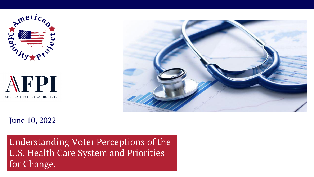



#### June 10, 2022

Understanding Voter Perceptions of the U.S. Health Care System and Priorities for Change.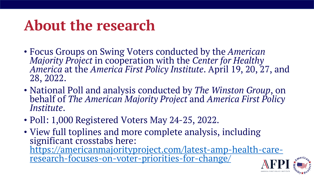### **About the research**

- Focus Groups on Swing Voters conducted by the *American Majority Project* in cooperation with the *Center for Healthy America* at the *America First Policy Institute*. April 19, 20, 27, and 28, 2022.
- National Poll and analysis conducted by *The Winston Group*, on behalf of *The American Majority Project* and *America First Policy Institute*.
- Poll: 1,000 Registered Voters May 24-25, 2022.
- View full toplines and more complete analysis, including significant crosstabs here: [https://americanmajorityproject.com/latest-amp-health-care](https://americanmajorityproject.com/latest-amp-health-care-research-focuses-on-voter-priorities-for-change/)research-focuses-on-voter-priorities-for-change/

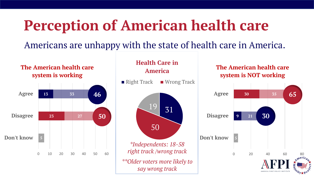### **Perception of American health care**

#### Americans are unhappy with the state of health care in America.

#### **13 33 23 27 5** 0 10 20 30 40 50 60 **Don't know Disagree Agree The American health care system is working 50 46**



#### **The American health care system is NOT working**

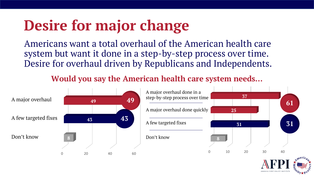### **Desire for major change**

Americans want a total overhaul of the American health care system but want it done in a step-by-step process over time. Desire for overhaul driven by Republicans and Independents.

**Would you say the American health care system needs…**

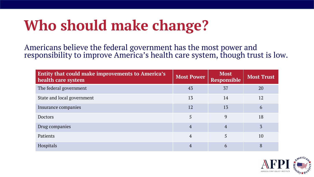## **Who should make change?**

Americans believe the federal government has the most power and responsibility to improve America's health care system, though trust is low.

| <b>Entity that could make improvements to America's</b><br>health care system | <b>Most Power</b> | <b>Most</b><br><b>Responsible</b> | <b>Most Trust</b> |
|-------------------------------------------------------------------------------|-------------------|-----------------------------------|-------------------|
| The federal government                                                        | 43                | 37                                | 20                |
| State and local government                                                    | 13                | 14                                | 12                |
| Insurance companies                                                           | 12                | 13                                | 6                 |
| <b>Doctors</b>                                                                | 5                 | 9                                 | 18                |
| Drug companies                                                                | $\overline{4}$    | 4                                 |                   |
| Patients                                                                      | $\overline{4}$    |                                   | 10                |
| Hospitals                                                                     | 4                 | 6                                 | 8                 |

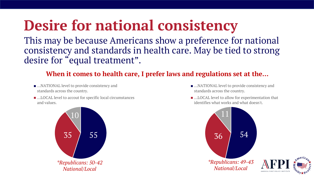## **Desire for national consistency**

This may be because Americans show a preference for national consistency and standards in health care. May be tied to strong desire for "equal treatment".

#### **When it comes to health care, I prefer laws and regulations set at the…**

- ...NATIONAL level to provide consistency and standards across the country.
- ...LOCAL level to accout for specific local circumstances and values.



- …NATIONAL level to provide consistency and standards across the country.
- ...LOCAL level to allow for experimentation that identifies what works and what doesn't.



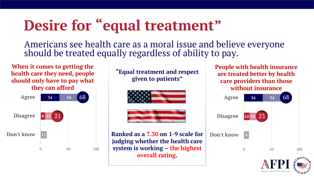## **Desire for "equal treatment"**

Americans see health care as a moral issue and believe everyone should be treated equally regardless of ability to pay.

**When it comes to getting the health care they need, people should only have to pay what they can afford**



**"Equal treatment and respect given to patients"**





**Ranked as a 7.30 on 1-9 scale for judging whether the health care system is working – the highest overall rating.**

**People with health insurance are treated better by health care providers than those without insurance**

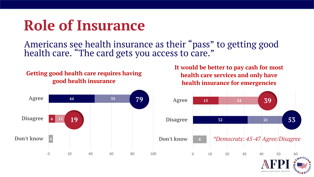### **Role of Insurance**

Americans see health insurance as their "pass" to getting good health care. "The card gets you access to care."

#### **Getting good health care requires having good health insurance**

**It would be better to pay cash for most health care services and only have health insurance for emergencies**

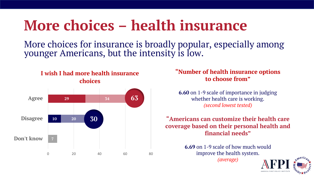### **More choices – health insurance**

More choices for insurance is broadly popular, especially among younger Americans, but the intensity is low.



#### **"Number of health insurance options to choose from"**

**6.60** on 1-9 scale of importance in judging whether health care is working. *(second lowest tested)*

#### **"Americans can customize their health care coverage based on their personal health and financial needs"**

**6.69** on 1-9 scale of how much would improve the health system. *(average)*

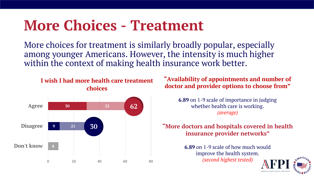### **More Choices - Treatment**

More choices for treatment is similarly broadly popular, especially among younger Americans. However, the intensity is much higher within the context of making health insurance work better.

#### **I wish I had more health care treatment choices**



**"Availability of appointments and number of doctor and provider options to choose from"**

> **6.89** on 1-9 scale of importance in judging whether health care is working. *(average)*

#### **"More doctors and hospitals covered in health insurance provider networks"**

**6.89** on 1-9 scale of how much would improve the health system. *(second highest tested)*

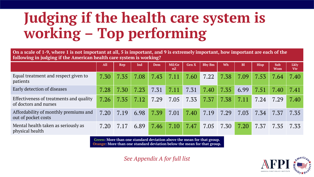## **Judging if the health care system is working – Top performing**

**On a scale of 1-9, where 1 is not important at all, 5 is important, and 9 is extremely important, how important are each of the following in judging if the American health care system is working?**

|                                                                  | All  | <b>Rep</b> | Ind  | Dem  | Mil/Ge<br>nZ | <b>Gen X</b> | <b>Bby Bm</b> | Wh   | <b>Bl</b> | <b>Hisp</b> | <b>Sub</b><br><b>Wom</b> | Lkly<br><b>Vtr</b> |
|------------------------------------------------------------------|------|------------|------|------|--------------|--------------|---------------|------|-----------|-------------|--------------------------|--------------------|
| Equal treatment and respect given to<br>patients                 | 7.30 | 7.35       | 7.08 | 7.43 | 7.11         | 7.60         | 7.22          | 7.38 | 7.09      | 7.53        | 7.64                     | 7.40               |
| Early detection of diseases                                      | 7.28 | 7.30       | 7.23 | 7.31 | 7.11         | 7.31         | 7.40          | 7.35 | 6.99      | 7.51        | 7.40                     | 7.41               |
| Effectiveness of treatments and quality<br>of doctors and nurses | 7.26 | 7.35       | 7.12 | 7.29 | 7.05         | 7.33         | 7.37          | 7.38 | 7.11      | 7.24        | 7.29                     | 7.40               |
| Affordability of monthly premiums and<br>out of pocket costs     | 7.20 | 7.19       | 6.98 | 7.39 | 7.01         | 7.40         | 7.19          | 7.29 | 7.03      | 7.34        | 7.37                     | 7.35               |
| Mental health taken as seriously as<br>physical health           | 7.20 | 7.17       | 6.89 | 7.46 | 7.10         | 7.47         | 7.05          | 7.30 | 7.20      | 7.37        | 7.35                     | 7.33               |

**Green: More than one standard deviation above the mean for that group. Orange: More than one standard deviation below the mean for that group.**

*See Appendix A for full list*

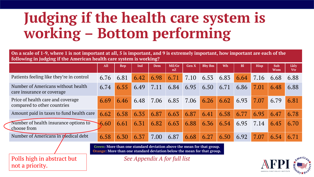## **Judging if the health care system is working – Bottom performing**

**On a scale of 1-9, where 1 is not important at all, 5 is important, and 9 is extremely important, how important are each of the following in judging if the American health care system is working?**

|                                                                                                                                                   | <b>All</b> | <b>Rep</b> | Ind  | <b>Dem</b> | Mil/Ge<br>nZ | <b>Gen X</b> | <b>Bby Bm</b> | Wh   | <b>Bl</b> | <b>Hisp</b> | <b>Sub</b><br><b>Wom</b> | <b>Lkly</b><br><b>Vtr</b> |
|---------------------------------------------------------------------------------------------------------------------------------------------------|------------|------------|------|------------|--------------|--------------|---------------|------|-----------|-------------|--------------------------|---------------------------|
| Patients feeling like they're in control                                                                                                          | 6.76       | 6.81       | 6.42 | 6.98       | 6.71         | 7.10         | 6.53          | 6.83 | 6.64      | 7.16        | 6.68                     | 6.88                      |
| Number of Americans without health<br>care insurance or coverage                                                                                  | 6.74       | 6.55       | 6.49 | 7.11       | 6.84         | 6.95         | 6.50          | 6.71 | 6.86      | 7.01        | 6.48                     | 6.88                      |
| Price of health care and coverage<br>compared to other countries                                                                                  | 6.69       | 6.46       | 6.48 | 7.06       | 6.85         | 7.06         | 6.26          | 6.62 | 6.93      | 7.07        | 6.79                     | 6.81                      |
| Amount paid in taxes to fund health care                                                                                                          | 6.62       | 6.58       | 6.35 | 6.87       | 6.63         | 6.87         | 6.41          | 6.58 | 6.77      | 6.95        | 6.47                     | 6.78                      |
| Number of health insurance options to<br>choose from                                                                                              | 6.60       | 6.61       | 6.31 | 6.82       | 6.63         | 6.88         | 6.36          | 6.54 | 6.95      | 7.14        | 6.45                     | 6.70                      |
| Number of Americans in medical debt                                                                                                               | 6.58       | 6.30       | 6.37 | 7.00       | 6.87         | 6.68         | 6.27          | 6.50 | 6.92      | 7.07        | 6.54                     | 6.71                      |
| Green: More than one standard deviation above the mean for that group.<br>Orange: More than one standard deviation below the mean for that group. |            |            |      |            |              |              |               |      |           |             |                          |                           |

not a priority.

Polls high in abstract but *See Appendix A for full list*

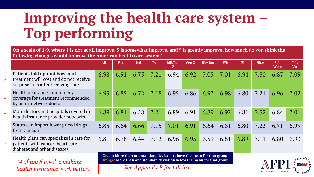## **Improving the health care system – Top performing**

**On a scale of 1-9, where 1 is not at all improve, 5 is somewhat improve, and 9 is greatly improve, how much do you think the following changes would improve the American health care system?** 

|                                        |                                                                                                                 | <b>All</b> | Rep                                                                                                                                               | Ind                          | Dem  | Mil/Gen | <b>Gen X</b> | <b>Bby Bm</b> | Wh   | <b>Bl</b> | <b>Hisp</b> | <b>Sub</b><br><b>Wom</b> | Lkly<br><b>Vtr</b> |  |  |  |
|----------------------------------------|-----------------------------------------------------------------------------------------------------------------|------------|---------------------------------------------------------------------------------------------------------------------------------------------------|------------------------------|------|---------|--------------|---------------|------|-----------|-------------|--------------------------|--------------------|--|--|--|
| $\frac{1}{2}$                          | Patients told upfront how much<br>treatment will cost and do not receive<br>surprise bills after receiving care | 6.98       | 6.91                                                                                                                                              | 6.75                         | 7.21 | 6.94    | 6.92         | 7.05          | 7.01 | 6.94      | 7.30        | 6.87                     | 7.09               |  |  |  |
| $\mathbf{S}_\mathrm{F}^{\mathrm{L}}$   | Health insurance cannot deny<br>coverage for treatment recommended<br>by an in-network doctor                   | 6.93       | 6.85                                                                                                                                              | 6.72                         | 7.18 | 6.95    | 6.86         | 6.97          | 6.98 | 6.80      | 7.21        | 6.96                     | 7.02               |  |  |  |
| $\mathbf{S}^{\mathbf{L}}_{\mathbf{K}}$ | More doctors and hospitals covered in<br>health insurance provider networks                                     | 6.89       | 6.81                                                                                                                                              | 6.58                         | 7.21 | 6.89    | 6.91         | 6.89          | 6.92 | 6.81      | 7.32        | 6.84                     | 7.01               |  |  |  |
|                                        | States can import lower priced drugs<br>from Canada                                                             | 6.83       | 6.64                                                                                                                                              | 6.66                         | 7.15 | 7.01    | 6.91         | 6.64          | 6.81 | 6.80      | 7.23        | 6.71                     | 6.99               |  |  |  |
| $\mathbf{S}_\mathrm{F}^\mathrm{I}$     | Health plans can specialize in care for<br>patients with cancer, heart care,<br>diabetes and other diseases     | 6.81       | 6.78                                                                                                                                              | 6.44                         | 7.12 | 6.96    | 6.95         | 6.59          | 6.81 | 6.89      | 7.11        | 6.80                     | 6.93               |  |  |  |
|                                        |                                                                                                                 |            | Green: More than one standard deviation above the mean for that group.<br>Orange: More than one standard deviation below the mean for that group. |                              |      |         |              |               |      |           |             |                          |                    |  |  |  |
|                                        | *4 of top 5 involve making<br>health insurance work better.                                                     |            |                                                                                                                                                   | See Appendix B for full list |      |         |              |               |      |           |             |                          |                    |  |  |  |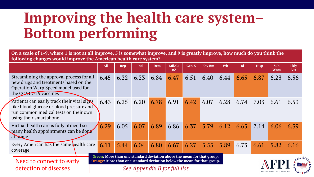## **Improving the health care system– Bottom performing**

**On a scale of 1-9, where 1 is not at all improve, 5 is somewhat improve, and 9 is greatly improve, how much do you think the following changes would improve the American health care system?** 

|                                                                                                                                                            | <b>All</b>                                                                                                                                        | <b>Rep</b> | Ind  | <b>Dem</b>                   | Mil/Ge<br>nZ | <b>Gen X</b> | <b>Bby Bm</b> | Wh   | B1   | <b>Hisp</b> | Sub<br>Wom | <b>Lkly</b><br><b>Vtr</b> |
|------------------------------------------------------------------------------------------------------------------------------------------------------------|---------------------------------------------------------------------------------------------------------------------------------------------------|------------|------|------------------------------|--------------|--------------|---------------|------|------|-------------|------------|---------------------------|
| Streamlining the approval process for all<br>new drugs and treatments based on the<br>Operation Warp Speed model used for<br>the COVID-19 vaccines         | 6.45                                                                                                                                              | 6.22       | 6.23 | 6.84                         | 6.47         | 6.51         | 6.40          | 6.44 | 6.65 | 6.87        | 6.23       | 6.56                      |
| Patients can easily track their vital signs<br>like blood glucose or blood pressure and<br>run common medical tests on their own<br>using their smartphone | 6.43                                                                                                                                              | 6.25       | 6.20 | 6.78                         | 6.91         | 6.42         | 6.07          | 6.28 | 6.74 | 7.03        | 6.61       | 6.53                      |
| Virtual health care is fully utilized so<br>many health appointments can be dope<br>at home                                                                | 6.29                                                                                                                                              | 6.05       | 6.07 | 6.89                         | 6.86         | 6.37         | 5.79          | 6.12 | 6.65 | 7.14        | 6.06       | 6.39                      |
| Every American has the same health care<br>coverage                                                                                                        | 6.11                                                                                                                                              | 5.44       | 6.04 | 6.80                         | 6.67         | 6.27         | 5.55          | 5.89 | 6.73 | 6.61        | 5.82       | 6.16                      |
| Need to connect to early<br>detection of diseases                                                                                                          | Green: More than one standard deviation above the mean for that group.<br>Orange: More than one standard deviation below the mean for that group. |            |      | See Appendix B for full list |              |              |               |      |      |             |            |                           |

*See Appendix B for full list*

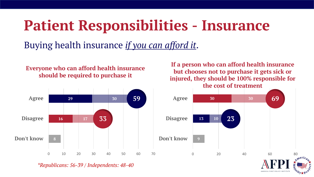### **Patient Responsibilities - Insurance**

### Buying health insurance *if you can afford it*.

#### **Everyone who can afford health insurance should be required to purchase it**



*\*Republicans: 56-39 / Independents: 48-40*

**If a person who can afford health insurance but chooses not to purchase it gets sick or injured, they should be 100% responsible for the cost of treatment**

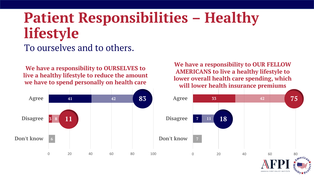# **Patient Responsibilities – Healthy lifestyle**

#### To ourselves and to others.

**We have a responsibility to OURSELVES to live a healthy lifestyle to reduce the amount we have to spend personally on health care**

**We have a responsibility to OUR FELLOW AMERICANS to live a healthy lifestyle to lower overall health care spending, which will lower health insurance premiums**

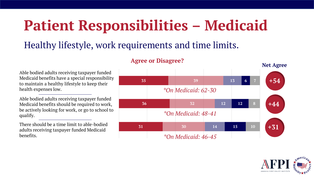## **Patient Responsibilities – Medicaid**

#### Healthy lifestyle, work requirements and time limits.

#### **31 36 35 30 32 39 14 12 13 15 12 6 10 8 7 Net Agree** *\*On Medicaid: 48-41 \*On Medicaid: 46-45 \*On Medicaid: 62-30* **+54 +44 +31**

**Agree or Disagree?**

Able bodied adults receiving taxpayer funded Medicaid benefits have a special responsibility to maintain a healthy lifestyle to keep their health expenses low.

Able bodied adults receiving taxpayer funded Medicaid benefits should be required to work, be actively looking for work, or go to school to qualify.

There should be a time limit to able-bodied adults receiving taxpayer funded Medicaid benefits.

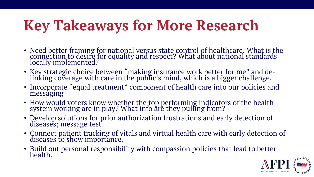# **Key Takeaways for More Research**

- Need better framing for national versus state control of healthcare. What is the connection to desire for equality and respect? What about national standards locally implemented?
- Key strategic choice between "making insurance work better for me" and delinking coverage with care in the public's mind, which is a bigger challenge.
- Incorporate "equal treatment" component of health care into our policies and messaging
- How would voters know whether the top performing indicators of the health system working are in play? What info are they pulling from?
- Develop solutions for prior authorization frustrations and early detection of diseases; message test
- Connect patient tracking of vitals and virtual health care with early detection of diseases to show importance.
- Build out personal responsibility with compassion policies that lead to better health.

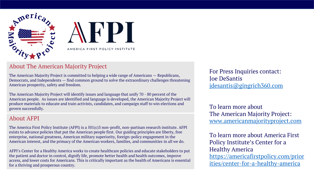



#### About The American Majority Project

The American Majority Project is committed to helping a wide range of Americans — Republicans, Democrats, and Independents — find common ground to solve the extraordinary challenges threatening American prosperity, safety and freedom.

The American Majority Project will identify issues and language that unify 70 - 80 percent of the American people. As issues are identified and language is developed, the American Majority Project will produce materials to educate and train activists, candidates, and campaign staff to win elections and govern successfully.

#### About AFPI

The America First Policy Institute (AFPI) is a 501(c)3 non-profit, non-partisan research institute. AFPI exists to advance policies that put the American people first. Our guiding principles are liberty, free enterprise, national greatness, American military superiority, foreign-policy engagement in the American interest, and the primacy of the American workers, families, and communities in all we do.

AFPI's Center for a Healthy America works to create healthcare policies and educate stakeholders to put the patient and doctor in control, dignify life, promote better health and health outcomes, improve access, and lower costs for Americans. This is critically important as the health of Americans is essential for a thriving and prosperous country.

For Press Inquiries contact: Joe DeSantis [jdesantis@gingrich360.com](mailto:jdesantis@gingrich360.com)

To learn more about The American Majority Project: [www.americanmajorityproject.com](http://www.americanmajorityproject.com/)

To learn more about America First Policy Institute's Center for a Healthy America [https://americafirstpolicy.com/prior](https://americafirstpolicy.com/priorities/center-for-a-healthy-america) ities/center-for-a-healthy-america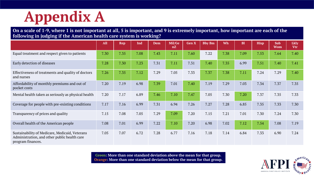### **Appendix A**

#### **On a scale of 1-9, where 1 is not important at all, 5 is important, and 9 is extremely important, how important are each of the following in judging if the American health care system is working?**

|                                                                                                                     | All  | <b>Rep</b> | Ind  | <b>Dem</b> | Mil/Ge<br>nZ | <b>Gen X</b> | <b>Bby Bm</b> | Wh   | <b>Bl</b> | <b>Hisp</b> | <b>Sub</b><br><b>Wom</b> | <b>Lkly</b><br><b>Vtr</b> |
|---------------------------------------------------------------------------------------------------------------------|------|------------|------|------------|--------------|--------------|---------------|------|-----------|-------------|--------------------------|---------------------------|
| Equal treatment and respect given to patients                                                                       | 7.30 | 7.35       | 7.08 | 7.43       | 7.11         | 7.60         | 7.22          | 7.38 | 7.09      | 7.53        | 7.64                     | 7.40                      |
| Early detection of diseases                                                                                         | 7.28 | 7.30       | 7.23 | 7.31       | 7.11         | 7.31         | 7.40          | 7.35 | 6.99      | 7.51        | 7.40                     | 7.41                      |
| Effectiveness of treatments and quality of doctors<br>and nurses                                                    | 7.26 | 7.35       | 7.12 | 7.29       | 7.05         | 7.33         | 7.37          | 7.38 | 7.11      | 7.24        | 7.29                     | 7.40                      |
| Affordability of monthly premiums and out of<br>pocket costs                                                        | 7.20 | 7.19       | 6.98 | 7.39       | 7.01         | 7.40         | 7.19          | 7.29 | 7.03      | 7.34        | 7.37                     | 7.35                      |
| Mental health taken as seriously as physical health                                                                 | 7.20 | 7.17       | 6.89 | 7.46       | 7.10         | 7.47         | 7.05          | 7.30 | 7.20      | 7.37        | 7.35                     | 7.33                      |
| Coverage for people with pre-existing conditions                                                                    | 7.17 | 7.16       | 6.99 | 7.31       | 6.94         | 7.26         | 7.27          | 7.28 | 6.85      | 7.35        | 7.33                     | 7.30                      |
| Transparency of prices and quality                                                                                  | 7.15 | 7.08       | 7.05 | 7.29       | 7.09         | 7.20         | 7.15          | 7.21 | 7.01      | 7.30        | 7.24                     | 7.30                      |
| Overall health of the American people                                                                               | 7.08 | 7.01       | 6.99 | 7.22       | 7.10         | 7.20         | 6.98          | 7.02 | 7.12      | 7.54        | 7.08                     | 7.19                      |
| Sustainability of Medicare, Medicaid, Veterans<br>Administration, and other public health care<br>program finances. | 7.05 | 7.07       | 6.72 | 7.28       | 6.77         | 7.16         | 7.18          | 7.14 | 6.84      | 7.33        | 6.90                     | 7.24                      |

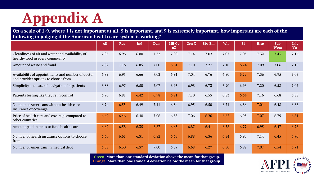### **Appendix A**

#### **On a scale of 1-9, where 1 is not important at all, 5 is important, and 9 is extremely important, how important are each of the following in judging if the American health care system is working?**

|                                                                                          | <b>All</b> | <b>Rep</b> | Ind  | Dem  | Mil/Ge<br>nZ | <b>Gen X</b> | <b>Bby Bm</b> | Wh   | B1   | <b>Hisp</b> | Sub<br><b>Wom</b> | <b>Lkly</b><br>Vtr |
|------------------------------------------------------------------------------------------|------------|------------|------|------|--------------|--------------|---------------|------|------|-------------|-------------------|--------------------|
| Cleanliness of air and water and availability of<br>healthy food in every community      | 7.05       | 6.96       | 6.80 | 7.32 | 7.00         | 7.14         | 7.02          | 7.07 | 7.03 | 7.32        | 7.43              | 7.16               |
| Amount of waste and fraud                                                                | 7.02       | 7.16       | 6.85 | 7.00 | 6.61         | 7.10         | 7.27          | 7.10 | 6.74 | 7.09        | 7.06              | 7.18               |
| Availability of appointments and number of doctor<br>and provider options to choose from | 6.89       | 6.95       | 6.66 | 7.02 | 6.91         | 7.04         | 6.76          | 6.90 | 6.72 | 7.36        | 6.95              | 7.03               |
| Simplicity and ease of navigation for patients                                           | 6.88       | 6.97       | 6.50 | 7.07 | 6.95         | 6.98         | 6.73          | 6.90 | 6.96 | 7.20        | 6.58              | 7.02               |
| Patients feeling like they're in control                                                 | 6.76       | 6.81       | 6.42 | 6.98 | 6.71         | 7.10         | 6.53          | 6.83 | 6.64 | 7.16        | 6.68              | 6.88               |
| Number of Americans without health care<br>insurance or coverage                         | 6.74       | 6.55       | 6.49 | 7.11 | 6.84         | 6.95         | 6.50          | 6.71 | 6.86 | 7.01        | 6.48              | 6.88               |
| Price of health care and coverage compared to<br>other countries                         | 6.69       | 6.46       | 6.48 | 7.06 | 6.85         | 7.06         | 6.26          | 6.62 | 6.93 | 7.07        | 6.79              | 6.81               |
| Amount paid in taxes to fund health care                                                 | 6.62       | 6.58       | 6.35 | 6.87 | 6.63         | 6.87         | 6.41          | 6.58 | 6.77 | 6.95        | 6.47              | 6.78               |
| Number of health insurance options to choose<br>from                                     | 6.60       | 6.61       | 6.31 | 6.82 | 6.63         | 6.88         | 6.36          | 6.54 | 6.95 | 7.14        | 6.45              | 6.70               |
| Number of Americans in medical debt                                                      | 6.58       | 6.30       | 6.37 | 7.00 | 6.87         | 6.68         | 6.27          | 6.50 | 6.92 | 7.07        | 6.54              | 6.71               |

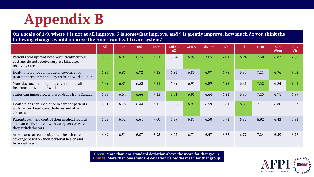## **Appendix B**

#### **On a scale of 1-9, where 1 is not at all improve, 5 is somewhat improve, and 9 is greatly improve, how much do you think the following changes would improve the American health care system?**

|                                                                                                                          | <b>All</b> | <b>Rep</b> | Ind  | <b>Dem</b> | Mil/Ge<br>nZ | <b>Gen X</b> | <b>Bby Bm</b> | Wh   | <b>Bl</b> | <b>Hisp</b> | <b>Sub</b><br><b>Wom</b> | <b>Lkly</b><br><b>Vtr</b> |
|--------------------------------------------------------------------------------------------------------------------------|------------|------------|------|------------|--------------|--------------|---------------|------|-----------|-------------|--------------------------|---------------------------|
| Patients told upfront how much treatment will<br>cost and do not receive surprise bills after<br>receiving care          | 6.98       | 6.91       | 6.75 | 7.21       | 6.94         | 6.92         | 7.05          | 7.01 | 6.94      | 7.30        | 6.87                     | 7.09                      |
| Health insurance cannot deny coverage for<br>treatment recommended by an in-network doctor                               | 6.93       | 6.85       | 6.72 | 7.18       | 6.95         | 6.86         | 6.97          | 6.98 | 6.80      | 7.21        | 6.96                     | 7.02                      |
| More doctors and hospitals covered in health<br>insurance provider networks                                              | 6.89       | 6.81       | 6.58 | 7.21       | 6.89         | 6.91         | 6.89          | 6.92 | 6.81      | 7.32        | 6.84                     | 7.01                      |
| States can import lower priced drugs from Canada                                                                         | 6.83       | 6.64       | 6.66 | 7.15       | 7.01         | 6.91         | 6.64          | 6.81 | 6.80      | 7.23        | 6.71                     | 6.99                      |
| Health plans can specialize in care for patients<br>with cancer, heart care, diabetes and other<br>diseases              | 6.81       | 6.78       | 6.44 | 7.12       | 6.96         | 6.95         | 6.59          | 6.81 | 6.89      | 7.11        | 6.80                     | 6.93                      |
| Patients own and control their medical records<br>and can easily share it with caregivers or when<br>they switch doctors | 6.72       | 6.52       | 6.61 | 7.00       | 6.87         | 6.85         | 6.50          | 6.71 | 6.87      | 6.92        | 6.43                     | 6.81                      |
| Americans can customize their health care<br>coverage based on their personal health and<br>financial needs              | 6.69       | 6.51       | 6.57 | 6.95       | 6.97         | 6.71         | 6.47          | 6.63 | 6.77      | 7.24        | 6.59                     | 6.78                      |